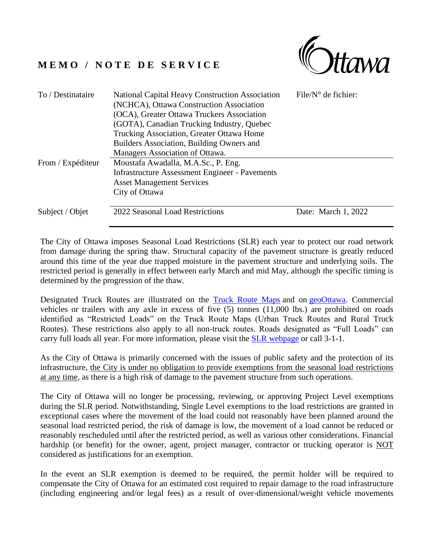## **M E M O / N O T E D E S E R V I C E**



| To / Destinataire | National Capital Heavy Construction Association<br>(NCHCA), Ottawa Construction Association<br>(OCA), Greater Ottawa Truckers Association<br>(GOTA), Canadian Trucking Industry, Quebec<br>Trucking Association, Greater Ottawa Home<br>Builders Association, Building Owners and<br>Managers Association of Ottawa. | $File/N^{\circ}$ de fichier: |
|-------------------|----------------------------------------------------------------------------------------------------------------------------------------------------------------------------------------------------------------------------------------------------------------------------------------------------------------------|------------------------------|
| From / Expéditeur | Moustafa Awadalla, M.A.Sc., P. Eng.<br><b>Infrastructure Assessment Engineer - Pavements</b><br><b>Asset Management Services</b><br>City of Ottawa                                                                                                                                                                   |                              |
| Subject / Objet   | 2022 Seasonal Load Restrictions                                                                                                                                                                                                                                                                                      | Date: March 1, 2022          |

The City of Ottawa imposes Seasonal Load Restrictions (SLR) each year to protect our road network from damage during the spring thaw. Structural capacity of the pavement structure is greatly reduced around this time of the year due trapped moisture in the pavement structure and underlying soils. The restricted period is generally in effect between early March and mid May, although the specific timing is determined by the progression of the thaw.

Designated Truck Routes are illustrated on the [Truck Route Maps](https://ottawa.ca/en/parking-roads-and-travel/road-and-sidewalk-maintenance/spring-maintenance-and-flood-control#seasonal-load-restrictions) and on [geoOttawa.](https://maps.ottawa.ca/geoottawa/) Commercial vehicles or trailers with any axle in excess of five (5) tonnes (11,000 lbs.) are prohibited on roads identified as "Restricted Loads" on the Truck Route Maps (Urban Truck Routes and Rural Truck Routes). These restrictions also apply to all non-truck routes. Roads designated as "Full Loads" can carry full loads all year. For more information, please visit the **SLR** webpage or call 3-1-1.

As the City of Ottawa is primarily concerned with the issues of public safety and the protection of its infrastructure, the City is under no obligation to provide exemptions from the seasonal load restrictions at any time, as there is a high risk of damage to the pavement structure from such operations.

The City of Ottawa will no longer be processing, reviewing, or approving Project Level exemptions during the SLR period. Notwithstanding, Single Level exemptions to the load restrictions are granted in exceptional cases where the movement of the load could not reasonably have been planned around the seasonal load restricted period, the risk of damage is low, the movement of a load cannot be reduced or reasonably rescheduled until after the restricted period, as well as various other considerations. Financial hardship (or benefit) for the owner, agent, project manager, contractor or trucking operator is NOT considered as justifications for an exemption.

In the event an SLR exemption is deemed to be required, the permit holder will be required to compensate the City of Ottawa for an estimated cost required to repair damage to the road infrastructure (including engineering and/or legal fees) as a result of over-dimensional/weight vehicle movements